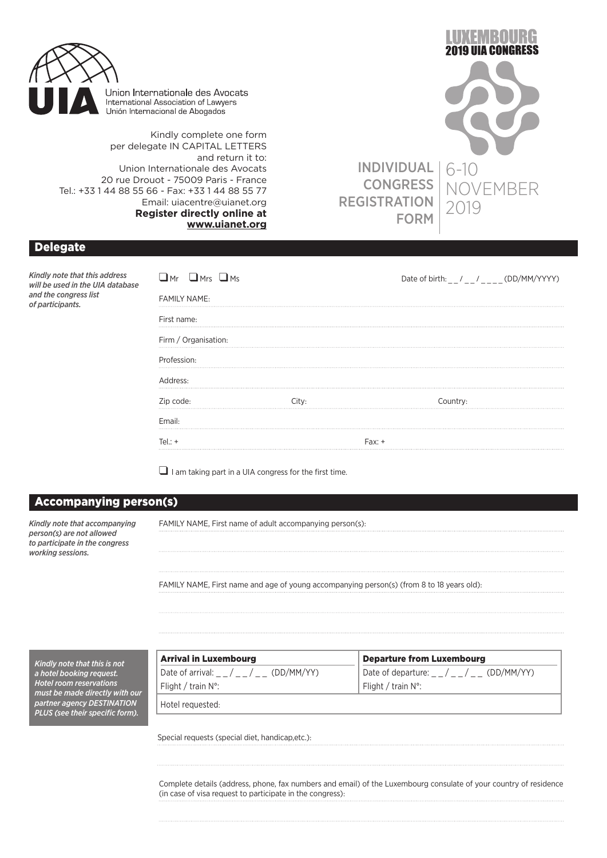

Union Internationale des Avocats International Association of Lawyers Unión Internacional de Abogados

Kindly complete one form per delegate IN CAPITAL LETTERS and return it to: Union Internationale des Avocats 20 rue Drouot - 75009 Paris - France Tel.: +33 1 44 88 55 66 - Fax: +33 1 44 88 55 77 Email: uiacentre@uianet.org **Register directly online at www.uianet.org**



NGRESS

## Delegate

*Kindly note that this address will be used in the UIA database and the congress list of participants.*

| $\mathbf{\mathbf{\underline{J}}}$ mr $\mathbf{\underline{L}}$ mrs $\mathbf{\underline{L}}$ ms |          | Date of birth: $_{--}/_{--}/_{---}$ (DD/MM/YYYY) |
|-----------------------------------------------------------------------------------------------|----------|--------------------------------------------------|
| <b>FAMILY NAME:</b>                                                                           |          |                                                  |
| First name:                                                                                   |          |                                                  |
| Firm / Organisation:                                                                          |          |                                                  |
| Profession:                                                                                   |          |                                                  |
| Address:                                                                                      |          |                                                  |
| Zip code:                                                                                     | City:    | Country:                                         |
| Email:                                                                                        |          |                                                  |
| $Tel: +$                                                                                      | $Fax: +$ |                                                  |

 $\Box$  I am taking part in a UIA congress for the first time.

## Accompanying person(s)

*Kindly note that accompanying person(s) are not allowed to participate in the congress working sessions.*

FAMILY NAME, First name of adult accompanying person(s):

FAMILY NAME, First name and age of young accompanying person(s) (from 8 to 18 years old):

*Kindly note that this is not a hotel booking request. Hotel room reservations must be made directly with our partner agency DESTINATION PLUS (see their specific form).*

| <b>Arrival in Luxembourg</b>                | <b>Departure from Luxembourg</b>                            |
|---------------------------------------------|-------------------------------------------------------------|
| Date of arrival: _ _ / _ _ / _ _ (DD/MM/YY) | Date of departure: $\frac{1}{2}$ / $\frac{1}{2}$ (DD/MM/YY) |
| Flight / train N°:                          | Flight / train $N^{\circ}$ :                                |
| Hotel requested:                            |                                                             |

Special requests (special diet, handicap,etc.):

Complete details (address, phone, fax numbers and email) of the Luxembourg consulate of your country of residence (in case of visa request to participate in the congress):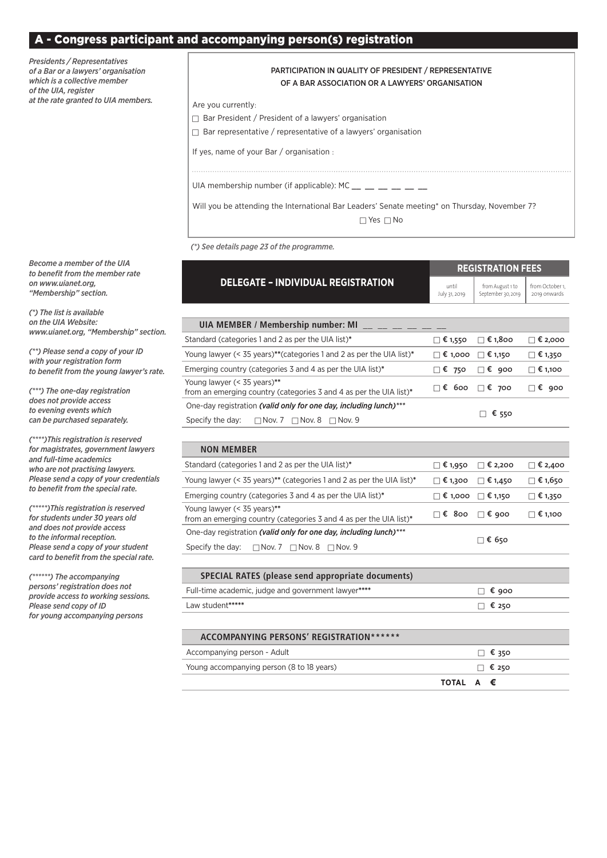#### - Congress participant and accompanying person(s) registration

*Presidents / Representatives of a Bar or a lawyers' organisation which is a collective member of the UIA, register at the rate granted to UIA members.*

#### PARTICIPATION IN QUALITY OF PRESIDENT / REPRESENTATIVE OF A BAR ASSOCIATION OR A LAWYERS' ORGANISATION

Are you currently:

Bar President / President of a lawyers' organisation

Bar representative / representative of a lawyers' organisation

If yes, name of your Bar / organisation :

UIA membership number (if applicable):  $MC \_ \_ \_ \_ \_ \_ \_ \_ \_$ 

Will you be attending the International Bar Leaders' Senate meeting\* on Thursday, November 7?

 $\Box$  Yes  $\Box$  No

*(\*) See details page 23 of the programme.*

|                                                                                                                                    |                               | <b>REGISTRATION FEES</b>               |                                 |
|------------------------------------------------------------------------------------------------------------------------------------|-------------------------------|----------------------------------------|---------------------------------|
| <b>DELEGATE - INDIVIDUAL REGISTRATION</b>                                                                                          | until<br>July 31, 2019        | from August 1 to<br>September 30, 2019 | from October 1,<br>2019 onwards |
| UIA MEMBER / Membership number: MI                                                                                                 |                               |                                        |                                 |
| Standard (categories 1 and 2 as per the UIA list)*                                                                                 | <b>D</b> € 1,550              | $\Box$ € 1,800                         | $\Box$ € 2,000                  |
| Young lawyer (< 35 years)**(categories 1 and 2 as per the UIA list)*                                                               | $\Box$ € 1,000 $\Box$ € 1,150 |                                        | ⊟ € 1,350                       |
| Emerging country (categories 3 and 4 as per the UIA list)*                                                                         | $\square$ $\xi$ 750           | $\Box$ € 900                           | 1,100 €                         |
| Young lawyer (< 35 years)**<br>from an emerging country (categories 3 and 4 as per the UIA list)*                                  | $\Box$ € 600                  | $\Box$ € 700                           | $\Box$ € 900                    |
| One-day registration (valid only for one day, including lunch)***<br>Specify the day:<br>$\Box$ Nov. 7 $\Box$ Nov. 8 $\Box$ Nov. 9 |                               | $\Box$ € 550                           |                                 |
| <b>NON MEMBER</b>                                                                                                                  |                               |                                        |                                 |
| Standard (categories 1 and 2 as per the UIA list)*                                                                                 | $\Box$ € 1,950                | $\Box$ € 2,200                         | $\Box$ € 2,400                  |
| Young lawyer (< 35 years)** (categories 1 and 2 as per the UIA list)*                                                              | $\Box$ € 1,300                | $\Box$ € 1,450                         | $\Box$ € 1,650                  |
| Emerging country (categories 3 and 4 as per the UIA list)*                                                                         | $\Box$ € 1,000 $\Box$ € 1,150 |                                        | $\Box$ € 1,350                  |
| Young lawyer (< 35 years)**<br>from an emerging country (categories 3 and 4 as per the UIA list)*                                  | $\Box$ € 800                  | $\Box$ € 900                           | $\Box$ € 1,100                  |
| One-day registration (valid only for one day, including lunch)***<br>Specify the day:<br>$\Box$ Nov. 7 $\Box$ Nov. 8 $\Box$ Nov. 9 |                               | ⊓€ 650                                 |                                 |
| <b>SPECIAL RATES (please send appropriate documents)</b>                                                                           |                               |                                        |                                 |
| Full-time academic, judge and government lawyer****                                                                                |                               | € 900                                  |                                 |
| Law student*****                                                                                                                   |                               | € 250<br>П.                            |                                 |
| ACCOMPANYING PERSONS' REGISTRATION ******                                                                                          |                               |                                        |                                 |
| Accompanying person - Adult                                                                                                        |                               | € 350                                  |                                 |
| Young accompanying person (8 to 18 years)                                                                                          |                               | € 250<br>П.                            |                                 |

*Become a member of the UIA to benefit from the member rate on www.uianet.org, "Membership" section.*

*(\*) The list is available on the UIA Website: www.uianet.org, "Membership" section.*

*(\*\*) Please send a copy of your ID with your registration form to benefit from the young lawyer's rate.*

*(\*\*\*) The one-day registration does not provide access to evening events which can be purchased separately.*

*(\*\*\*\*)This registration is reserved for magistrates, government lawyers and full-time academics who are not practising lawyers. Please send a copy of your credentials to benefit from the special rate.*

*(\*\*\*\*\*)This registration is reserved for students under 30 years old and does not provide access to the informal reception. Please send a copy of your student card to benefit from the special rate.* 

*(\*\*\*\*\*\*) The accompanying persons' registration does not provide access to working sessions. Please send copy of ID for young accompanying persons*

**TOTAL A €**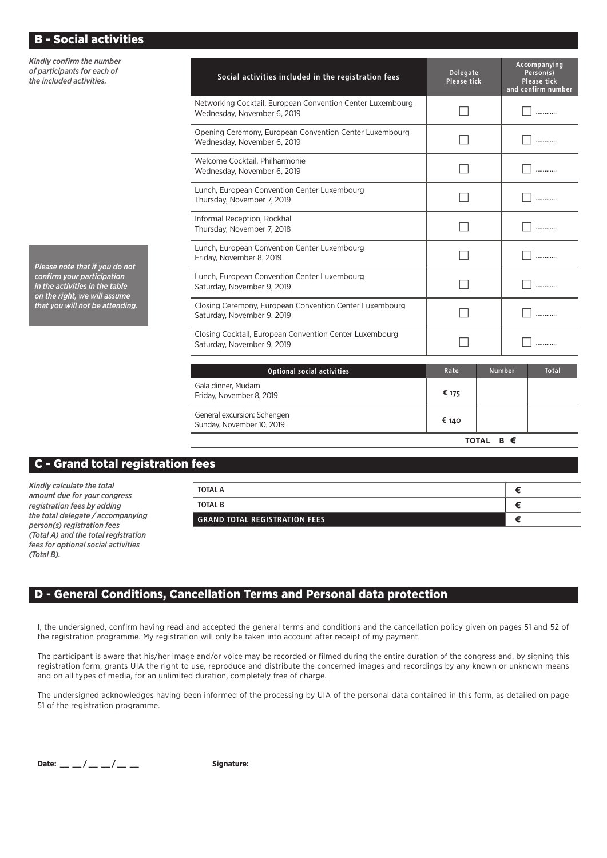| <b>B - Social activities</b>                                                                 |                                                                                           |                                       |               |                                                                       |
|----------------------------------------------------------------------------------------------|-------------------------------------------------------------------------------------------|---------------------------------------|---------------|-----------------------------------------------------------------------|
| Kindly confirm the number<br>of participants for each of<br>the included activities.         | Social activities included in the registration fees                                       | <b>Delegate</b><br><b>Please tick</b> |               | Accompanying<br>Person(s)<br><b>Please tick</b><br>and confirm number |
|                                                                                              | Networking Cocktail, European Convention Center Luxembourg<br>Wednesday, November 6, 2019 |                                       |               | .                                                                     |
|                                                                                              | Opening Ceremony, European Convention Center Luxembourg<br>Wednesday, November 6, 2019    |                                       |               | .                                                                     |
|                                                                                              | Welcome Cocktail, Philharmonie<br>Wednesday, November 6, 2019                             |                                       |               |                                                                       |
|                                                                                              | Lunch, European Convention Center Luxembourg<br>Thursday, November 7, 2019                |                                       |               | .                                                                     |
|                                                                                              | Informal Reception, Rockhal<br>Thursday, November 7, 2018                                 |                                       |               | .                                                                     |
| Please note that if you do not                                                               | Lunch, European Convention Center Luxembourg<br>Friday, November 8, 2019                  |                                       |               |                                                                       |
| confirm your participation<br>in the activities in the table<br>on the right, we will assume | Lunch, European Convention Center Luxembourg<br>Saturday, November 9, 2019                |                                       |               | .                                                                     |
| that you will not be attending.                                                              | Closing Ceremony, European Convention Center Luxembourg<br>Saturday, November 9, 2019     |                                       |               |                                                                       |
|                                                                                              | Closing Cocktail, European Convention Center Luxembourg<br>Saturday, November 9, 2019     |                                       |               | .                                                                     |
|                                                                                              | <b>Optional social activities</b>                                                         | Rate                                  | <b>Number</b> | <b>Total</b>                                                          |
|                                                                                              | Gala dinner, Mudam<br>Friday, November 8, 2019                                            | € 175                                 |               |                                                                       |

Sunday, November 10, 2019 € **<sup>140</sup>**

**TOTAL B €**

## C - Grand total registration fees

*Kindly calculate the total amount due for your congress registration fees by adding the total delegate / accompanying person(s) registration fees (Total A) and the total registration fees for optional social activities (Total B).*

| TOTAL A                              |  |
|--------------------------------------|--|
| <b>TOTAL B</b>                       |  |
| <b>GRAND TOTAL REGISTRATION FEES</b> |  |

## D - General Conditions, Cancellation Terms and Personal data protection

General excursion: Schengen

I, the undersigned, confirm having read and accepted the general terms and conditions and the cancellation policy given on pages 51 and 52 of the registration programme. My registration will only be taken into account after receipt of my payment.

The participant is aware that his/her image and/or voice may be recorded or filmed during the entire duration of the congress and, by signing this registration form, grants UIA the right to use, reproduce and distribute the concerned images and recordings by any known or unknown means and on all types of media, for an unlimited duration, completely free of charge.

The undersigned acknowledges having been informed of the processing by UIA of the personal data contained in this form, as detailed on page 51 of the registration programme.

**Date: \_\_ \_\_ / \_\_ \_\_ / \_\_ \_\_ Signature:**